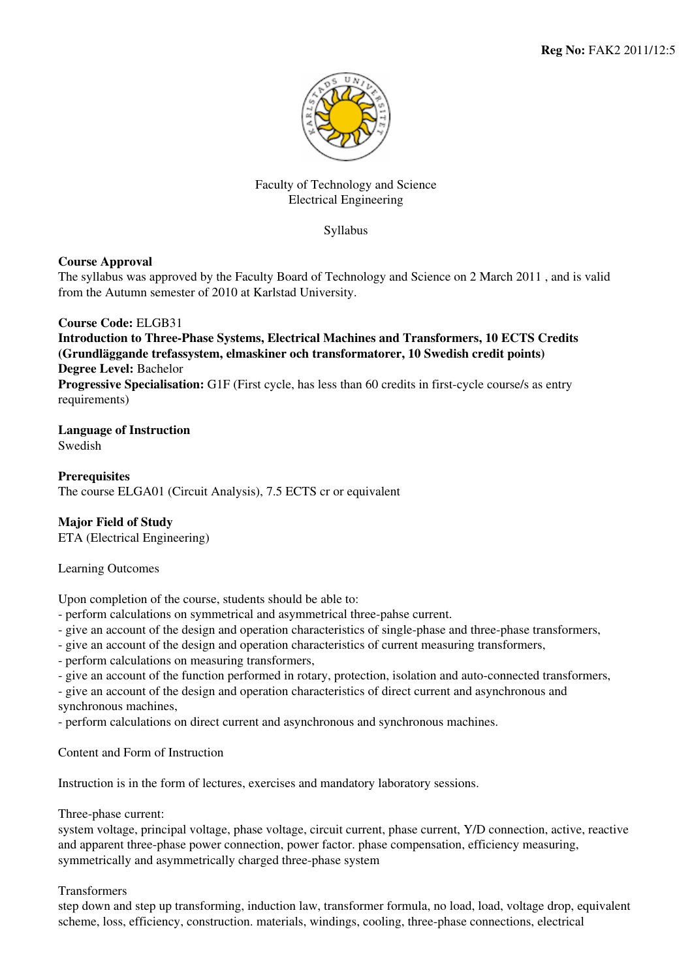

## Faculty of Technology and Science Electrical Engineering

Syllabus

# **Course Approval**

The syllabus was approved by the Faculty Board of Technology and Science on 2 March 2011 , and is valid from the Autumn semester of 2010 at Karlstad University.

# **Course Code:** ELGB31

**Introduction to Three-Phase Systems, Electrical Machines and Transformers, 10 ECTS Credits (Grundläggande trefassystem, elmaskiner och transformatorer, 10 Swedish credit points) Degree Level:** Bachelor

**Progressive Specialisation:** G1F (First cycle, has less than 60 credits in first-cycle course/s as entry requirements)

#### **Language of Instruction** Swedish

**Prerequisites** The course ELGA01 (Circuit Analysis), 7.5 ECTS cr or equivalent

# **Major Field of Study**

ETA (Electrical Engineering)

Learning Outcomes

Upon completion of the course, students should be able to:

- perform calculations on symmetrical and asymmetrical three-pahse current.

- give an account of the design and operation characteristics of single-phase and three-phase transformers,
- give an account of the design and operation characteristics of current measuring transformers,
- perform calculations on measuring transformers,
- give an account of the function performed in rotary, protection, isolation and auto-connected transformers,

- give an account of the design and operation characteristics of direct current and asynchronous and synchronous machines,

- perform calculations on direct current and asynchronous and synchronous machines.

Content and Form of Instruction

Instruction is in the form of lectures, exercises and mandatory laboratory sessions.

Three-phase current:

system voltage, principal voltage, phase voltage, circuit current, phase current, Y/D connection, active, reactive and apparent three-phase power connection, power factor. phase compensation, efficiency measuring, symmetrically and asymmetrically charged three-phase system

## Transformers

step down and step up transforming, induction law, transformer formula, no load, load, voltage drop, equivalent scheme, loss, efficiency, construction. materials, windings, cooling, three-phase connections, electrical